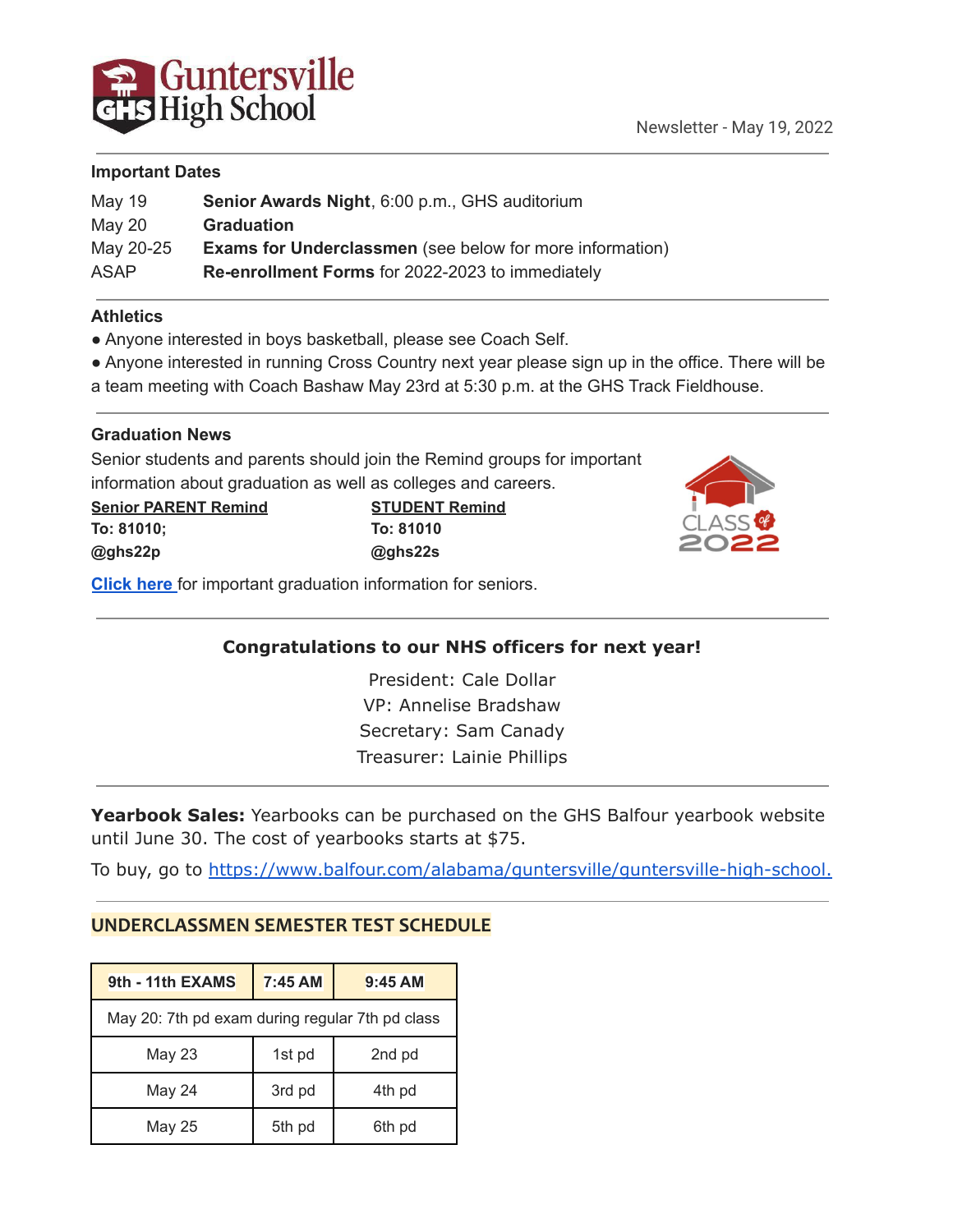

#### **Important Dates**

| May 19      | Senior Awards Night, 6:00 p.m., GHS auditorium                  |
|-------------|-----------------------------------------------------------------|
| May 20      | <b>Graduation</b>                                               |
| May 20-25   | <b>Exams for Underclassmen</b> (see below for more information) |
| <b>ASAP</b> | Re-enrollment Forms for 2022-2023 to immediately                |

### **Athletics**

- Anyone interested in boys basketball, please see Coach Self.
- Anyone interested in running Cross Country next year please sign up in the office. There will be
- a team meeting with Coach Bashaw May 23rd at 5:30 p.m. at the GHS Track Fieldhouse.

### **Graduation News**

Senior students and parents should join the Remind groups for important information about graduation as well as colleges and careers.

| <b>Senior PARENT Remind</b> | <b>STUDENT Remind</b> |  |
|-----------------------------|-----------------------|--|
| To: 81010;                  | To: 81010             |  |
| @ghs22p                     | @ghs22s               |  |



**[Click](https://drive.google.com/file/d/10BNPXQTd7VEWxniL1_tGnEUheCq3Ggvq/view?usp=sharing) here** for important graduation information for seniors.

### **Congratulations to our NHS officers for next year!**

President: Cale Dollar VP: Annelise Bradshaw Secretary: Sam Canady Treasurer: Lainie Phillips

**Yearbook Sales:** Yearbooks can be purchased on the GHS Balfour yearbook website until June 30. The cost of yearbooks starts at \$75.

To buy, go to [https://www.balfour.com/alabama/guntersville/guntersville-high-school.](https://www.balfour.com/alabama/guntersville/guntersville-high-school)

### **UNDERCLASSMEN SEMESTER TEST SCHEDULE**

| 9th - 11th EXAMS                                | 7:45 AM | $9:45$ AM |  |  |
|-------------------------------------------------|---------|-----------|--|--|
| May 20: 7th pd exam during regular 7th pd class |         |           |  |  |
| May 23                                          | 1st pd  | 2nd pd    |  |  |
| <b>May 24</b>                                   | 3rd pd  | 4th pd    |  |  |
| May 25                                          | 5th pd  | 6th pd    |  |  |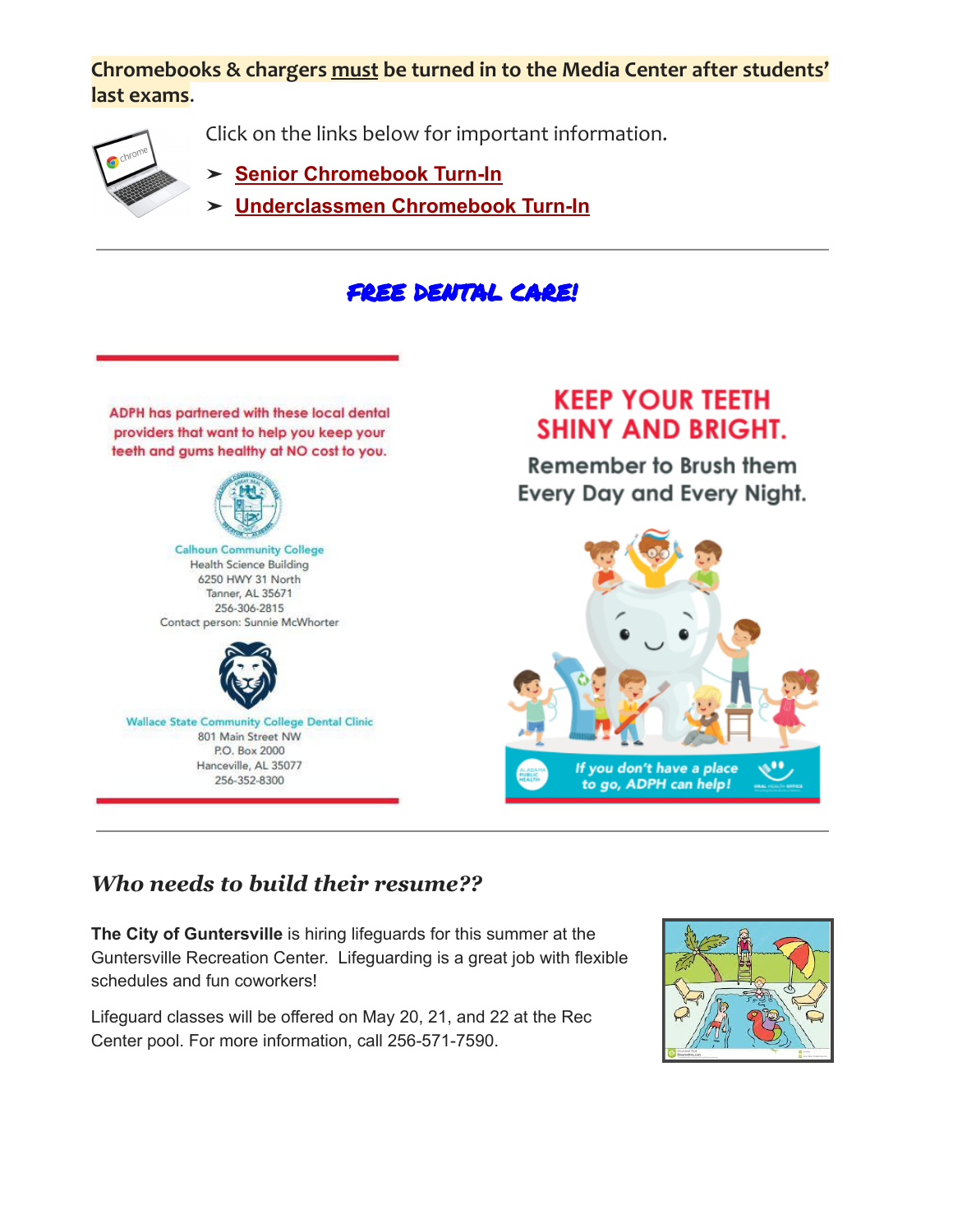**Chromebooks & chargers must be turned in to the Media Center after students' last exams**.



- Click on the links below for important information.
- ➤ **Senior [Chromebook](https://drive.google.com/file/d/1Dy-BhzTj-ku0-_snRuByUUPHCIvfcER8/view?usp=sharing) Turn-In**
- ➤ **[Underclassmen](https://drive.google.com/file/d/1DwxQIAlHo3jpjlBJoUSTG4-G9M1By2kf/view?usp=sharing) Chromebook Turn-In**

# FREE DENTAL CARE!

ADPH has partnered with these local dental providers that want to help you keep your teeth and gums healthy at NO cost to you.



**Health Science Building** 6250 HWY 31 North Tanner, AL 35671 256-306-2815 Contact person: Sunnie McWhorter



**Wallace State Community College Dental Clinic** 801 Main Street NW P.O. Box 2000 Hanceville, AL 35077 256-352-8300

# **KEEP YOUR TEETH SHINY AND BRIGHT.**

Remember to Brush them Every Day and Every Night.



# *Who needs to build their resume??*

**The City of Guntersville** is hiring lifeguards for this summer at the Guntersville Recreation Center. Lifeguarding is a great job with flexible schedules and fun coworkers!

Lifeguard classes will be offered on May 20, 21, and 22 at the Rec Center pool. For more information, call 256-571-7590.